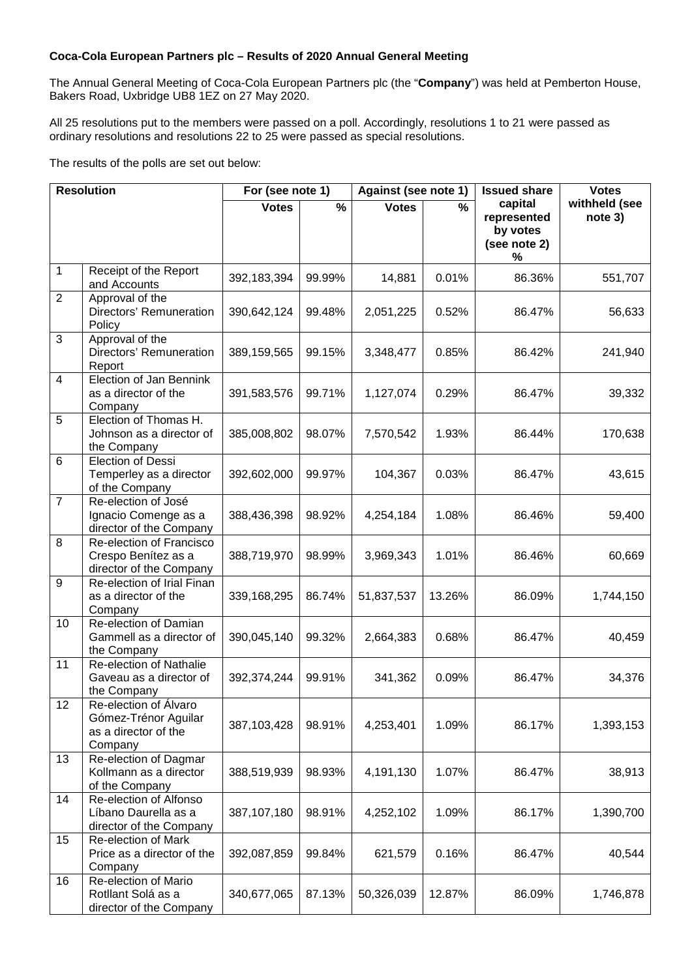## **Coca-Cola European Partners plc – Results of 2020 Annual General Meeting**

The Annual General Meeting of Coca-Cola European Partners plc (the "**Company**") was held at Pemberton House, Bakers Road, Uxbridge UB8 1EZ on 27 May 2020.

All 25 resolutions put to the members were passed on a poll. Accordingly, resolutions 1 to 21 were passed as ordinary resolutions and resolutions 22 to 25 were passed as special resolutions.

The results of the polls are set out below:

| <b>Resolution</b> |                                                                                  | For (see note 1) |                          | Against (see note 1) |        | <b>Issued share</b>                                     | <b>Votes</b>             |
|-------------------|----------------------------------------------------------------------------------|------------------|--------------------------|----------------------|--------|---------------------------------------------------------|--------------------------|
|                   |                                                                                  | <b>Votes</b>     | $\overline{\frac{9}{6}}$ | <b>Votes</b>         | %      | capital<br>represented<br>by votes<br>(see note 2)<br>% | withheld (see<br>note 3) |
| 1                 | Receipt of the Report<br>and Accounts                                            | 392,183,394      | 99.99%                   | 14,881               | 0.01%  | 86.36%                                                  | 551,707                  |
| 2                 | Approval of the<br>Directors' Remuneration<br>Policy                             | 390,642,124      | 99.48%                   | 2,051,225            | 0.52%  | 86.47%                                                  | 56,633                   |
| 3                 | Approval of the<br>Directors' Remuneration<br>Report                             | 389,159,565      | 99.15%                   | 3,348,477            | 0.85%  | 86.42%                                                  | 241,940                  |
| $\overline{4}$    | Election of Jan Bennink<br>as a director of the<br>Company                       | 391,583,576      | 99.71%                   | 1,127,074            | 0.29%  | 86.47%                                                  | 39,332                   |
| 5                 | Election of Thomas H.<br>Johnson as a director of<br>the Company                 | 385,008,802      | 98.07%                   | 7,570,542            | 1.93%  | 86.44%                                                  | 170,638                  |
| 6                 | Election of Dessi<br>Temperley as a director<br>of the Company                   | 392,602,000      | 99.97%                   | 104,367              | 0.03%  | 86.47%                                                  | 43,615                   |
| $\overline{7}$    | Re-election of José<br>Ignacio Comenge as a<br>director of the Company           | 388,436,398      | 98.92%                   | 4,254,184            | 1.08%  | 86.46%                                                  | 59,400                   |
| 8                 | Re-election of Francisco<br>Crespo Benítez as a<br>director of the Company       | 388,719,970      | 98.99%                   | 3,969,343            | 1.01%  | 86.46%                                                  | 60,669                   |
| 9                 | Re-election of Irial Finan<br>as a director of the<br>Company                    | 339,168,295      | 86.74%                   | 51,837,537           | 13.26% | 86.09%                                                  | 1,744,150                |
| 10                | Re-election of Damian<br>Gammell as a director of<br>the Company                 | 390,045,140      | 99.32%                   | 2,664,383            | 0.68%  | 86.47%                                                  | 40,459                   |
| 11                | Re-election of Nathalie<br>Gaveau as a director of<br>the Company                | 392,374,244      | 99.91%                   | 341,362              | 0.09%  | 86.47%                                                  | 34,376                   |
| 12                | Re-election of Álvaro<br>Gómez-Trénor Aguilar<br>as a director of the<br>Company | 387,103,428      | 98.91%                   | 4,253,401            | 1.09%  | 86.17%                                                  | 1,393,153                |
| 13                | Re-election of Dagmar<br>Kollmann as a director<br>of the Company                | 388,519,939      | 98.93%                   | 4,191,130            | 1.07%  | 86.47%                                                  | 38,913                   |
| 14                | Re-election of Alfonso<br>Líbano Daurella as a<br>director of the Company        | 387,107,180      | 98.91%                   | 4,252,102            | 1.09%  | 86.17%                                                  | 1,390,700                |
| 15                | Re-election of Mark<br>Price as a director of the<br>Company                     | 392,087,859      | 99.84%                   | 621,579              | 0.16%  | 86.47%                                                  | 40,544                   |
| 16                | Re-election of Mario<br>Rotllant Solá as a<br>director of the Company            | 340,677,065      | 87.13%                   | 50,326,039           | 12.87% | 86.09%                                                  | 1,746,878                |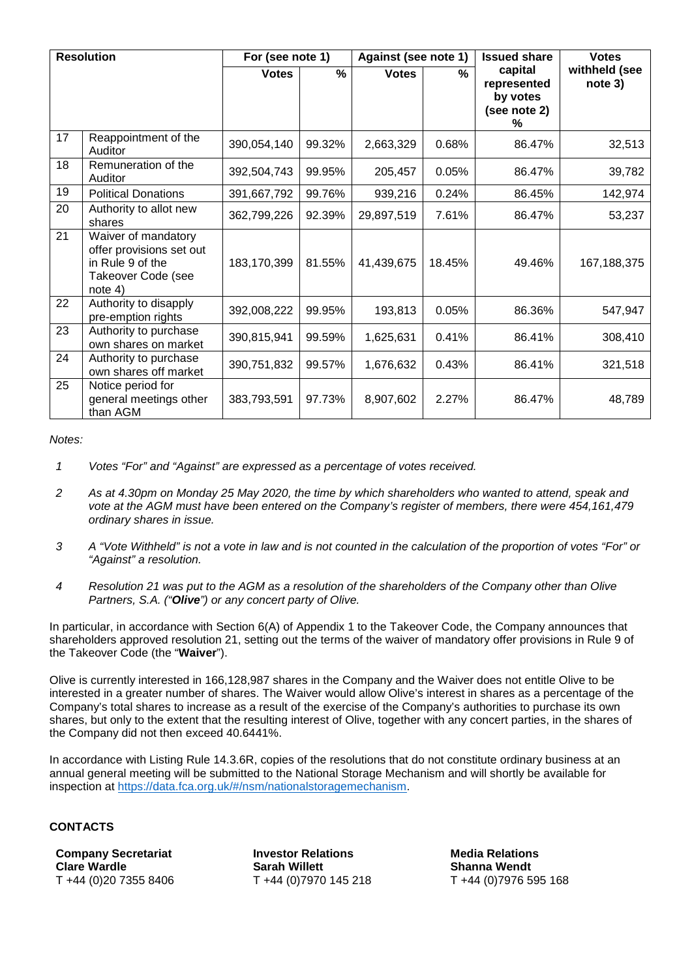| <b>Resolution</b> |                                                                                                      | For (see note 1) |        | Against (see note 1) |        | <b>Issued share</b>                                     | <b>Votes</b>             |
|-------------------|------------------------------------------------------------------------------------------------------|------------------|--------|----------------------|--------|---------------------------------------------------------|--------------------------|
|                   |                                                                                                      | <b>Votes</b>     | %      | <b>Votes</b>         | %      | capital<br>represented<br>by votes<br>(see note 2)<br>% | withheld (see<br>note 3) |
| 17                | Reappointment of the<br>Auditor                                                                      | 390,054,140      | 99.32% | 2,663,329            | 0.68%  | 86.47%                                                  | 32,513                   |
| 18                | Remuneration of the<br>Auditor                                                                       | 392,504,743      | 99.95% | 205,457              | 0.05%  | 86.47%                                                  | 39,782                   |
| 19                | <b>Political Donations</b>                                                                           | 391,667,792      | 99.76% | 939,216              | 0.24%  | 86.45%                                                  | 142,974                  |
| 20                | Authority to allot new<br>shares                                                                     | 362,799,226      | 92.39% | 29,897,519           | 7.61%  | 86.47%                                                  | 53,237                   |
| 21                | Waiver of mandatory<br>offer provisions set out<br>in Rule 9 of the<br>Takeover Code (see<br>note 4) | 183,170,399      | 81.55% | 41,439,675           | 18.45% | 49.46%                                                  | 167, 188, 375            |
| 22                | Authority to disapply<br>pre-emption rights                                                          | 392,008,222      | 99.95% | 193,813              | 0.05%  | 86.36%                                                  | 547,947                  |
| 23                | Authority to purchase<br>own shares on market                                                        | 390,815,941      | 99.59% | 1,625,631            | 0.41%  | 86.41%                                                  | 308,410                  |
| 24                | Authority to purchase<br>own shares off market                                                       | 390,751,832      | 99.57% | 1,676,632            | 0.43%  | 86.41%                                                  | 321,518                  |
| 25                | Notice period for<br>general meetings other<br>than AGM                                              | 383,793,591      | 97.73% | 8,907,602            | 2.27%  | 86.47%                                                  | 48,789                   |

*Notes:* 

- *1 Votes "For" and "Against" are expressed as a percentage of votes received.*
- *2 As at 4.30pm on Monday 25 May 2020, the time by which shareholders who wanted to attend, speak and vote at the AGM must have been entered on the Company's register of members, there were 454,161,479 ordinary shares in issue.*
- *3 A "Vote Withheld" is not a vote in law and is not counted in the calculation of the proportion of votes "For" or "Against" a resolution.*
- *4 Resolution 21 was put to the AGM as a resolution of the shareholders of the Company other than Olive Partners, S.A. ("Olive") or any concert party of Olive.*

In particular, in accordance with Section 6(A) of Appendix 1 to the Takeover Code, the Company announces that shareholders approved resolution 21, setting out the terms of the waiver of mandatory offer provisions in Rule 9 of the Takeover Code (the "**Waiver**").

Olive is currently interested in 166,128,987 shares in the Company and the Waiver does not entitle Olive to be interested in a greater number of shares. The Waiver would allow Olive's interest in shares as a percentage of the Company's total shares to increase as a result of the exercise of the Company's authorities to purchase its own shares, but only to the extent that the resulting interest of Olive, together with any concert parties, in the shares of the Company did not then exceed 40.6441%.

In accordance with Listing Rule 14.3.6R, copies of the resolutions that do not constitute ordinary business at an annual general meeting will be submitted to the National Storage Mechanism and will shortly be available for inspection at https://data.fca.org.uk/#/nsm/nationalstoragemechanism.

## **CONTACTS**

**Company Secretariat Clare Wardle**  T +44 (0)20 7355 8406

**Investor Relations Sarah Willett**  T +44 (0)7970 145 218

**Media Relations Shanna Wendt**  T +44 (0)7976 595 168